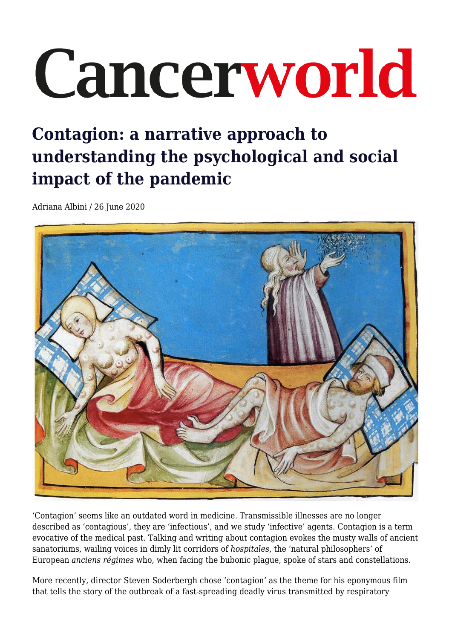# Cancerworld

## **Contagion: a narrative approach to understanding the psychological and social impact of the pandemic**

Adriana Albini / 26 June 2020



'Contagion' seems like an outdated word in medicine. Transmissible illnesses are no longer described as 'contagious', they are 'infectious', and we study 'infective' agents. Contagion is a term evocative of the medical past. Talking and writing about contagion evokes the musty walls of ancient sanatoriums, wailing voices in dimly lit corridors of *hospitales*, the 'natural philosophers' of European *anciens régimes* who, when facing the bubonic plague, spoke of stars and constellations.

More recently, director Steven Soderbergh chose 'contagion' as the theme for his eponymous film that tells the story of the outbreak of a fast-spreading deadly virus transmitted by respiratory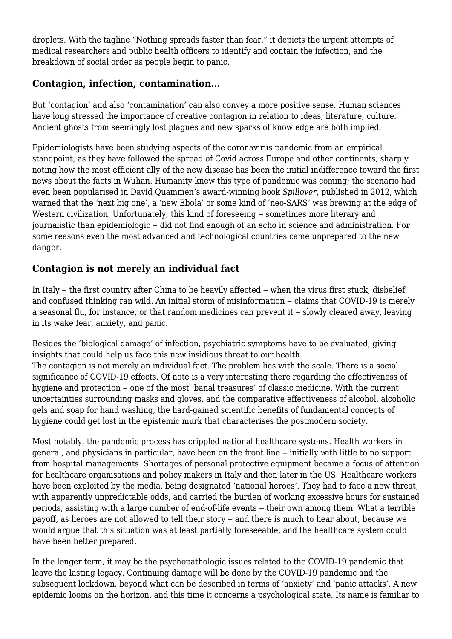droplets. With the tagline "Nothing spreads faster than fear," it depicts the urgent attempts of medical researchers and public health officers to identify and contain the infection, and the breakdown of social order as people begin to panic.

#### **Contagion, infection, contamination…**

But 'contagion' and also 'contamination' can also convey a more positive sense. Human sciences have long stressed the importance of creative contagion in relation to ideas, literature, culture. Ancient ghosts from seemingly lost plagues and new sparks of knowledge are both implied.

Epidemiologists have been studying aspects of the coronavirus pandemic from an empirical standpoint, as they have followed the spread of Covid across Europe and other continents, sharply noting how the most efficient ally of the new disease has been the initial indifference toward the first news about the facts in Wuhan. Humanity knew this type of pandemic was coming; the scenario had even been popularised in David Quammen's award-winning book *Spillover*, published in 2012, which warned that the 'next big one', a 'new Ebola' or some kind of 'neo-SARS' was brewing at the edge of Western civilization. Unfortunately, this kind of foreseeing – sometimes more literary and journalistic than epidemiologic ‒ did not find enough of an echo in science and administration. For some reasons even the most advanced and technological countries came unprepared to the new danger.

#### **Contagion is not merely an individual fact**

In Italy – the first country after China to be heavily affected – when the virus first stuck, disbelief and confused thinking ran wild. An initial storm of misinformation – claims that COVID-19 is merely a seasonal flu, for instance, or that random medicines can prevent it  $-$  slowly cleared away, leaving in its wake fear, anxiety, and panic.

Besides the 'biological damage' of infection, psychiatric symptoms have to be evaluated, giving insights that could help us face this new insidious threat to our health.

The contagion is not merely an individual fact. The problem lies with the scale. There is a social significance of COVID-19 effects. Of note is a very interesting there regarding the effectiveness of hygiene and protection – one of the most 'banal treasures' of classic medicine. With the current uncertainties surrounding masks and gloves, and the comparative effectiveness of alcohol, alcoholic gels and soap for hand washing, the hard-gained scientific benefits of fundamental concepts of hygiene could get lost in the epistemic murk that characterises the postmodern society.

Most notably, the pandemic process has crippled national healthcare systems. Health workers in general, and physicians in particular, have been on the front line – initially with little to no support from hospital managements. Shortages of personal protective equipment became a focus of attention for healthcare organisations and policy makers in Italy and then later in the US. Healthcare workers have been exploited by the media, being designated 'national heroes'. They had to face a new threat, with apparently unpredictable odds, and carried the burden of working excessive hours for sustained periods, assisting with a large number of end-of-life events – their own among them. What a terrible payoff, as heroes are not allowed to tell their story – and there is much to hear about, because we would argue that this situation was at least partially foreseeable, and the healthcare system could have been better prepared.

In the longer term, it may be the psychopathologic issues related to the COVID-19 pandemic that leave the lasting legacy. Continuing damage will be done by the COVID-19 pandemic and the subsequent lockdown, beyond what can be described in terms of 'anxiety' and 'panic attacks'. A new epidemic looms on the horizon, and this time it concerns a psychological state. Its name is familiar to